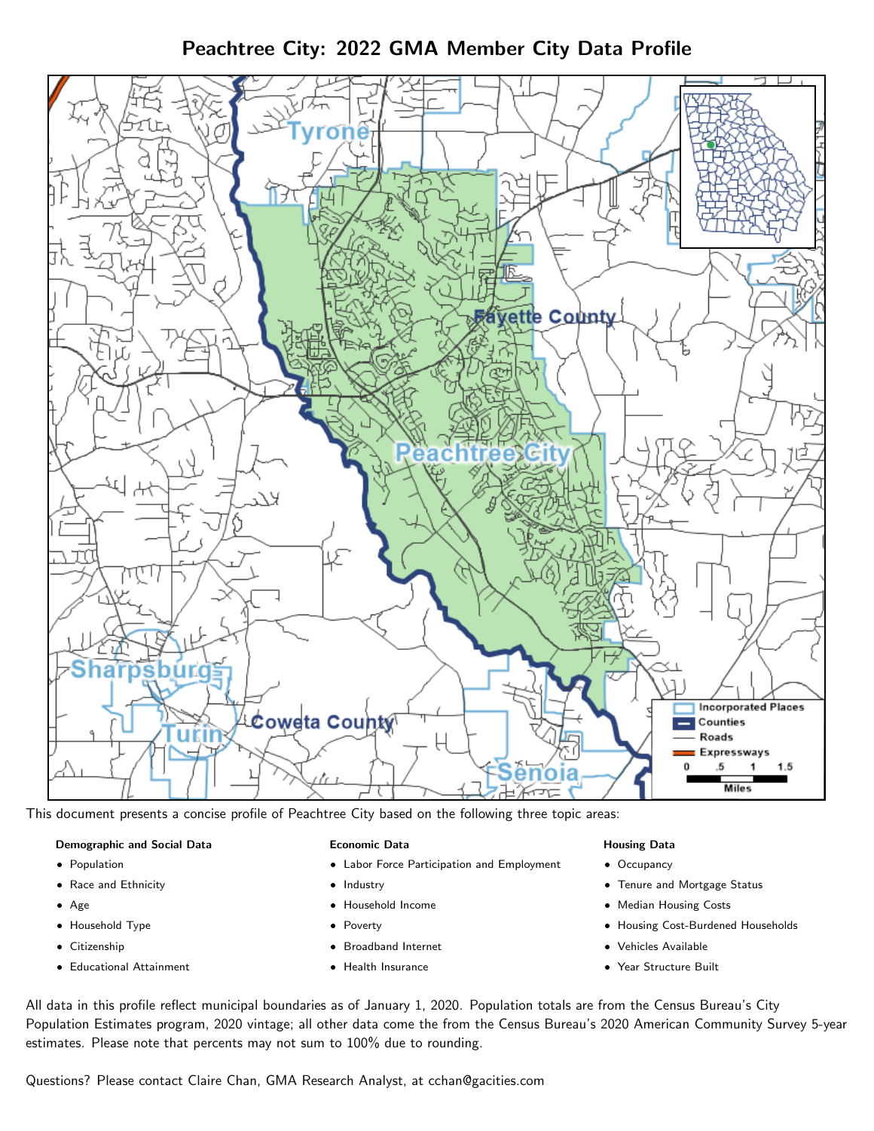Peachtree City: 2022 GMA Member City Data Profile



This document presents a concise profile of Peachtree City based on the following three topic areas:

#### Demographic and Social Data

- **•** Population
- Race and Ethnicity
- Age
- Household Type
- **Citizenship**
- Educational Attainment

#### Economic Data

- Labor Force Participation and Employment
- Industry
- Household Income
- Poverty
- Broadband Internet
- Health Insurance

### Housing Data

- Occupancy
- Tenure and Mortgage Status
- Median Housing Costs
- Housing Cost-Burdened Households
- Vehicles Available
- Year Structure Built

All data in this profile reflect municipal boundaries as of January 1, 2020. Population totals are from the Census Bureau's City Population Estimates program, 2020 vintage; all other data come the from the Census Bureau's 2020 American Community Survey 5-year estimates. Please note that percents may not sum to 100% due to rounding.

Questions? Please contact Claire Chan, GMA Research Analyst, at [cchan@gacities.com.](mailto:cchan@gacities.com)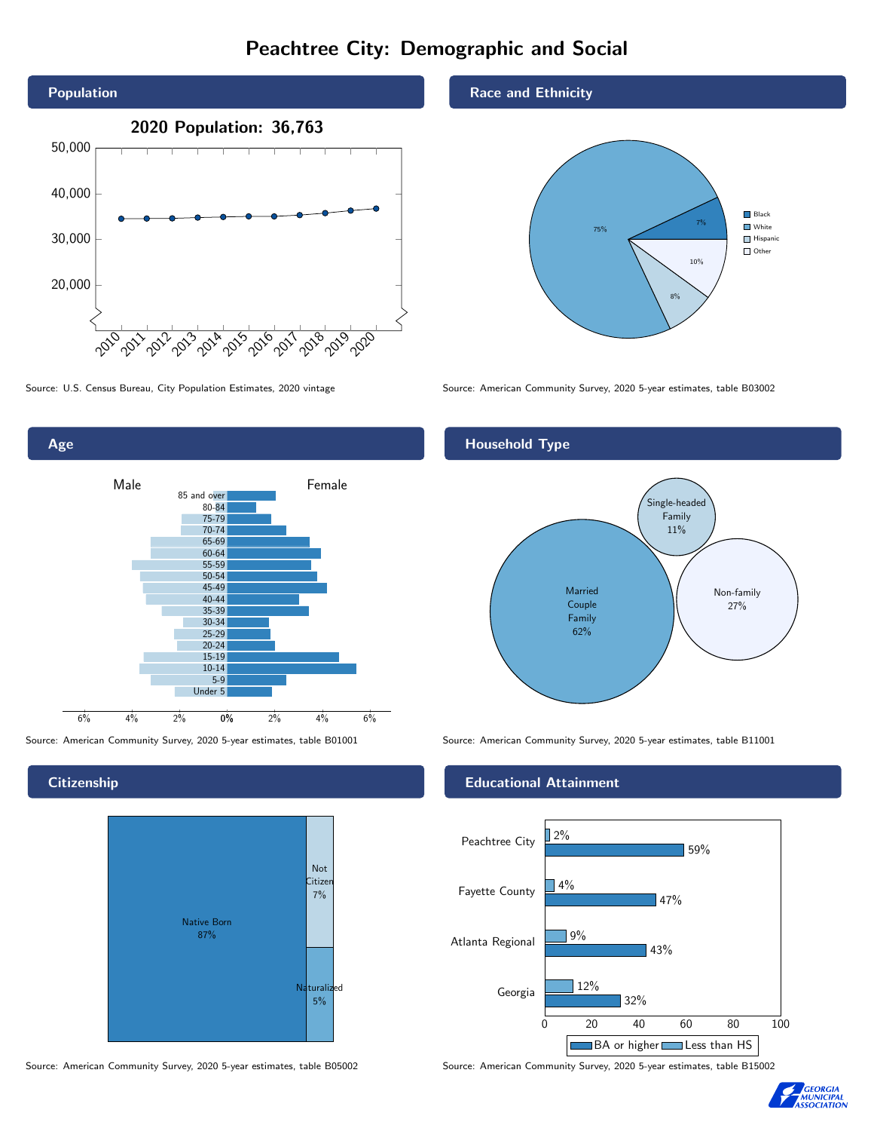# Peachtree City: Demographic and Social



0% 2% 4% 6% Male **Female** Female 6% 4% 2% 85 and over 80-84 75-79 70-74 65-69 60-64 55-59 50-54 45-49 40-44 35-39 30-34 25-29 20-24 15-19  $10-14$ 5-9 Under 5

**Citizenship** 

Age



Source: American Community Survey, 2020 5-year estimates, table B05002 Source: American Community Survey, 2020 5-year estimates, table B15002

### Race and Ethnicity



Source: U.S. Census Bureau, City Population Estimates, 2020 vintage Source: American Community Survey, 2020 5-year estimates, table B03002

## Household Type



Source: American Community Survey, 2020 5-year estimates, table B01001 Source: American Community Survey, 2020 5-year estimates, table B11001

### Educational Attainment



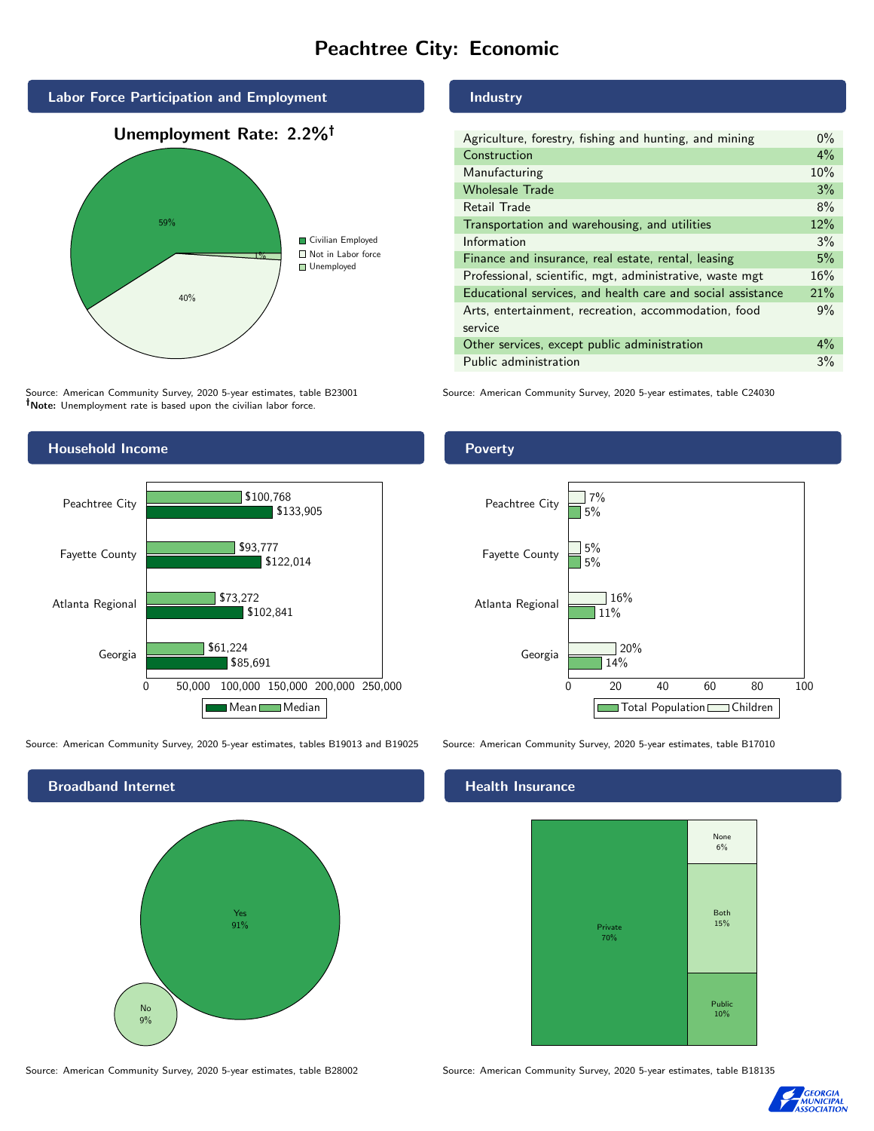# Peachtree City: Economic



Source: American Community Survey, 2020 5-year estimates, table B23001 Note: Unemployment rate is based upon the civilian labor force.



Source: American Community Survey, 2020 5-year estimates, tables B19013 and B19025 Source: American Community Survey, 2020 5-year estimates, table B17010



Source: American Community Survey, 2020 5-year estimates, table B28002 Source: American Community Survey, 2020 5-year estimates, table B18135

### Industry

| Agriculture, forestry, fishing and hunting, and mining      | $0\%$ |
|-------------------------------------------------------------|-------|
| Construction                                                | $4\%$ |
| Manufacturing                                               | 10%   |
| <b>Wholesale Trade</b>                                      | 3%    |
| Retail Trade                                                | 8%    |
| Transportation and warehousing, and utilities               | 12%   |
| Information                                                 | 3%    |
| Finance and insurance, real estate, rental, leasing         | 5%    |
| Professional, scientific, mgt, administrative, waste mgt    | 16%   |
| Educational services, and health care and social assistance | 21%   |
| Arts, entertainment, recreation, accommodation, food        | 9%    |
| service                                                     |       |
| Other services, except public administration                | $4\%$ |
| Public administration                                       | 3%    |

Source: American Community Survey, 2020 5-year estimates, table C24030

### Poverty



#### Health Insurance